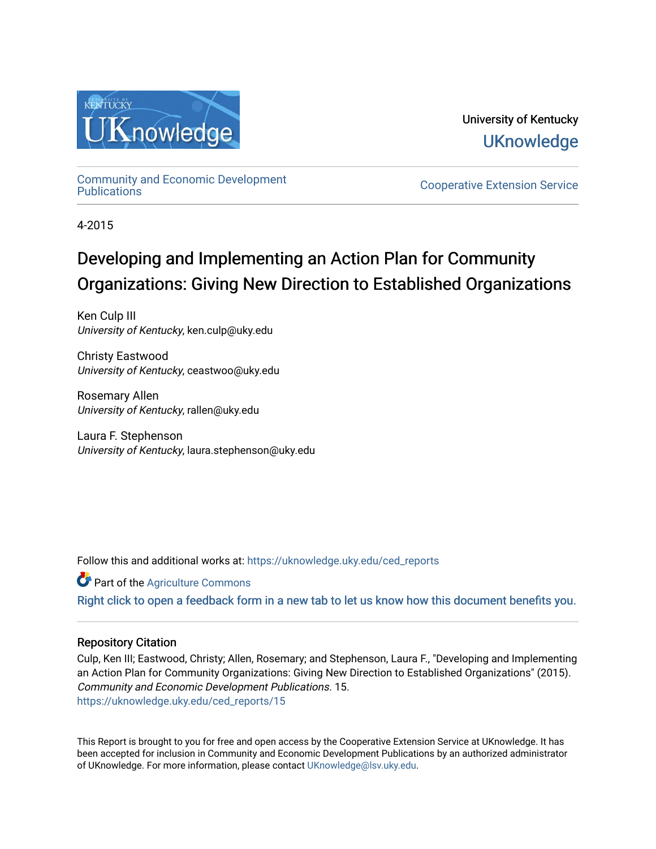

University of Kentucky **UKnowledge** 

[Community and Economic Development](https://uknowledge.uky.edu/ced_reports) 

**Cooperative Extension Service** 

4-2015

### Developing and Implementing an Action Plan for Community Organizations: Giving New Direction to Established Organizations

Ken Culp III University of Kentucky, ken.culp@uky.edu

Christy Eastwood University of Kentucky, ceastwoo@uky.edu

Rosemary Allen University of Kentucky, rallen@uky.edu

Laura F. Stephenson University of Kentucky, laura.stephenson@uky.edu

Follow this and additional works at: [https://uknowledge.uky.edu/ced\\_reports](https://uknowledge.uky.edu/ced_reports?utm_source=uknowledge.uky.edu%2Fced_reports%2F15&utm_medium=PDF&utm_campaign=PDFCoverPages)

Part of the [Agriculture Commons](http://network.bepress.com/hgg/discipline/1076?utm_source=uknowledge.uky.edu%2Fced_reports%2F15&utm_medium=PDF&utm_campaign=PDFCoverPages)

[Right click to open a feedback form in a new tab to let us know how this document benefits you.](https://uky.az1.qualtrics.com/jfe/form/SV_9mq8fx2GnONRfz7)

#### Repository Citation

Culp, Ken III; Eastwood, Christy; Allen, Rosemary; and Stephenson, Laura F., "Developing and Implementing an Action Plan for Community Organizations: Giving New Direction to Established Organizations" (2015). Community and Economic Development Publications. 15. [https://uknowledge.uky.edu/ced\\_reports/15](https://uknowledge.uky.edu/ced_reports/15?utm_source=uknowledge.uky.edu%2Fced_reports%2F15&utm_medium=PDF&utm_campaign=PDFCoverPages) 

This Report is brought to you for free and open access by the Cooperative Extension Service at UKnowledge. It has been accepted for inclusion in Community and Economic Development Publications by an authorized administrator of UKnowledge. For more information, please contact [UKnowledge@lsv.uky.edu.](mailto:UKnowledge@lsv.uky.edu)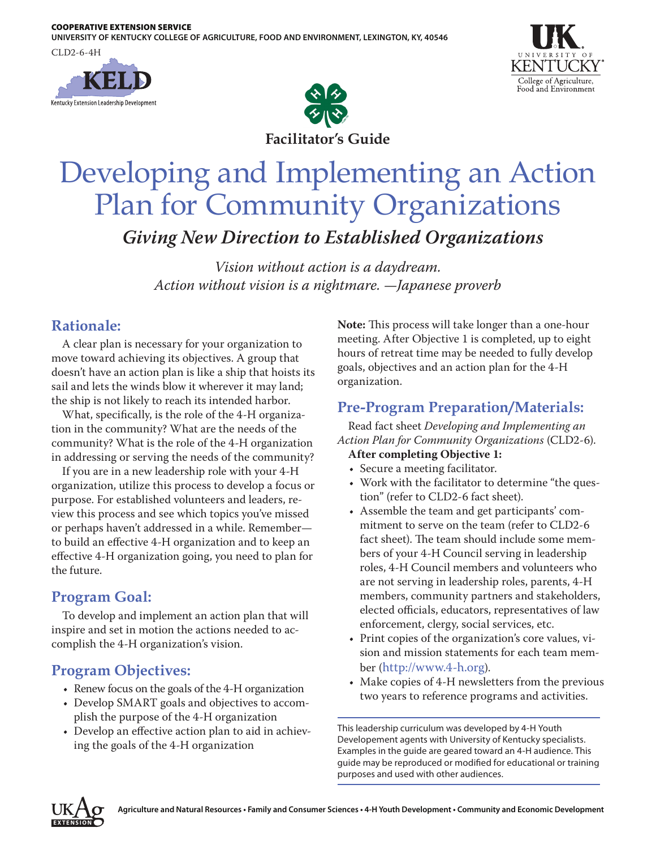COOPERATIVE EXTENSION SERVICE

**UNIVERSITY OF KENTUCKY COLLEGE OF AGRICULTURE, FOOD AND ENVIRONMENT, LEXINGTON, KY, 40546**

CLD2-6-4H







## Developing and Implementing an Action Plan for Community Organizations *Giving New Direction to Established Organizations*

*Vision without action is a daydream. Action without vision is a nightmare. —Japanese proverb*

#### **Rationale:**

A clear plan is necessary for your organization to move toward achieving its objectives. A group that doesn't have an action plan is like a ship that hoists its sail and lets the winds blow it wherever it may land; the ship is not likely to reach its intended harbor.

What, specifically, is the role of the 4-H organization in the community? What are the needs of the community? What is the role of the 4-H organization in addressing or serving the needs of the community?

If you are in a new leadership role with your 4-H organization, utilize this process to develop a focus or purpose. For established volunteers and leaders, review this process and see which topics you've missed or perhaps haven't addressed in a while. Remember to build an effective 4-H organization and to keep an effective 4-H organization going, you need to plan for the future.

#### **Program Goal:**

To develop and implement an action plan that will inspire and set in motion the actions needed to accomplish the 4-H organization's vision.

#### **Program Objectives:**

- Renew focus on the goals of the 4-H organization
- Develop SMART goals and objectives to accomplish the purpose of the 4-H organization
- Develop an effective action plan to aid in achieving the goals of the 4-H organization

**Note:** This process will take longer than a one-hour meeting. After Objective 1 is completed, up to eight hours of retreat time may be needed to fully develop goals, objectives and an action plan for the 4-H organization.

#### **Pre-Program Preparation/Materials:**

Read fact sheet *Developing and Implementing an Action Plan for Community Organizations* (CLD2-6).

#### **After completing Objective 1:**

- Secure a meeting facilitator.
- Work with the facilitator to determine "the question" (refer to CLD2-6 fact sheet).
- Assemble the team and get participants' commitment to serve on the team (refer to CLD2-6 fact sheet). The team should include some members of your 4-H Council serving in leadership roles, 4-H Council members and volunteers who are not serving in leadership roles, parents, 4-H members, community partners and stakeholders, elected officials, educators, representatives of law enforcement, clergy, social services, etc.
- Print copies of the organization's core values, vision and mission statements for each team member [\(http://www.4-h.org](http://www.4-h.org)).
- Make copies of 4-H newsletters from the previous two years to reference programs and activities.

This leadership curriculum was developed by 4-H Youth Developement agents with University of Kentucky specialists. Examples in the guide are geared toward an 4-H audience. This guide may be reproduced or modified for educational or training purposes and used with other audiences.

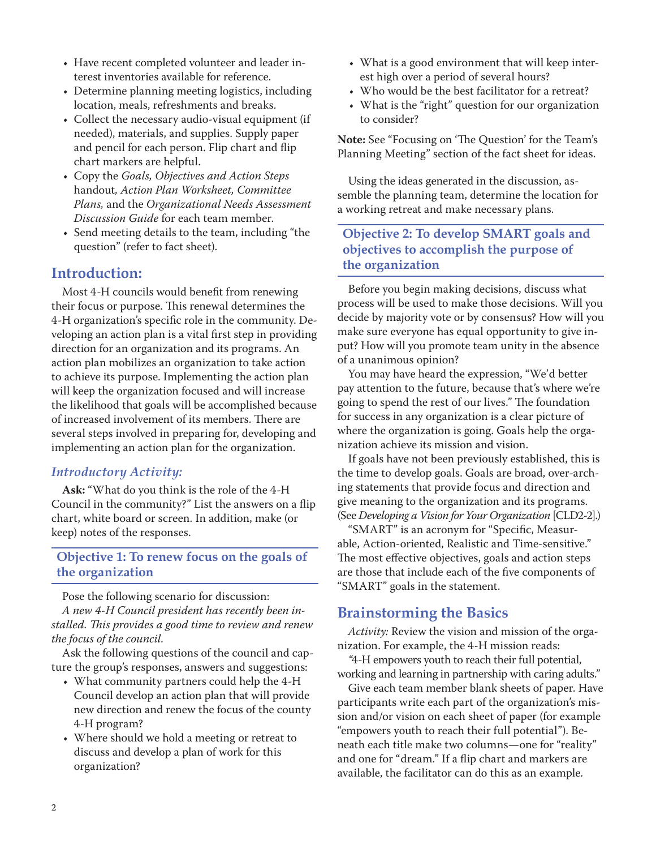- Have recent completed volunteer and leader interest inventories available for reference.
- Determine planning meeting logistics, including location, meals, refreshments and breaks.
- Collect the necessary audio-visual equipment (if needed), materials, and supplies. Supply paper and pencil for each person. Flip chart and flip chart markers are helpful.
- Copy the *Goals, Objectives and Action Steps* handout*, Action Plan Worksheet, Committee Plans,* and the *Organizational Needs Assessment Discussion Guide* for each team member.
- Send meeting details to the team, including "the question" (refer to fact sheet).

#### **Introduction:**

Most 4-H councils would benefit from renewing their focus or purpose. This renewal determines the 4-H organization's specific role in the community. Developing an action plan is a vital first step in providing direction for an organization and its programs. An action plan mobilizes an organization to take action to achieve its purpose. Implementing the action plan will keep the organization focused and will increase the likelihood that goals will be accomplished because of increased involvement of its members. There are several steps involved in preparing for, developing and implementing an action plan for the organization.

#### *Introductory Activity:*

**Ask:** "What do you think is the role of the 4-H Council in the community?" List the answers on a flip chart, white board or screen. In addition, make (or keep) notes of the responses.

#### **Objective 1: To renew focus on the goals of the organization**

Pose the following scenario for discussion: *A new 4-H Council president has recently been installed. This provides a good time to review and renew the focus of the council.*

Ask the following questions of the council and capture the group's responses, answers and suggestions:

- What community partners could help the 4-H Council develop an action plan that will provide new direction and renew the focus of the county 4-H program?
- Where should we hold a meeting or retreat to discuss and develop a plan of work for this organization?
- What is a good environment that will keep interest high over a period of several hours?
- Who would be the best facilitator for a retreat?
- What is the "right" question for our organization to consider?

**Note:** See "Focusing on 'The Question' for the Team's Planning Meeting" section of the fact sheet for ideas.

Using the ideas generated in the discussion, assemble the planning team, determine the location for a working retreat and make necessary plans.

#### **Objective 2: To develop SMART goals and objectives to accomplish the purpose of the organization**

Before you begin making decisions, discuss what process will be used to make those decisions. Will you decide by majority vote or by consensus? How will you make sure everyone has equal opportunity to give input? How will you promote team unity in the absence of a unanimous opinion?

You may have heard the expression, "We'd better pay attention to the future, because that's where we're going to spend the rest of our lives." The foundation for success in any organization is a clear picture of where the organization is going. Goals help the organization achieve its mission and vision.

If goals have not been previously established, this is the time to develop goals. Goals are broad, over-arching statements that provide focus and direction and give meaning to the organization and its programs. (See *Developing a Vision for Your Organization* [CLD2-2].)

"SMART" is an acronym for "Specific, Measurable, Action-oriented, Realistic and Time-sensitive." The most effective objectives, goals and action steps are those that include each of the five components of "SMART" goals in the statement.

#### **Brainstorming the Basics**

*Activity:* Review the vision and mission of the organization. For example, the 4-H mission reads:

*"*4-H empowers youth to reach their full potential, working and learning in partnership with caring adults."

Give each team member blank sheets of paper. Have participants write each part of the organization's mission and/or vision on each sheet of paper (for example "empowers youth to reach their full potential"). Beneath each title make two columns—one for "reality" and one for "dream." If a flip chart and markers are available, the facilitator can do this as an example.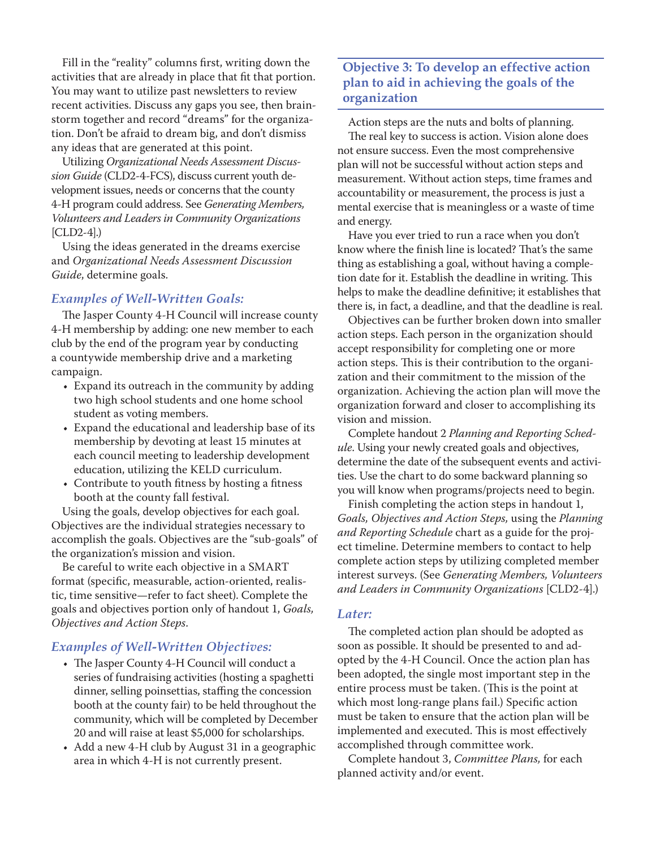Fill in the "reality" columns first, writing down the activities that are already in place that fit that portion. You may want to utilize past newsletters to review recent activities. Discuss any gaps you see, then brainstorm together and record "dreams" for the organization. Don't be afraid to dream big, and don't dismiss any ideas that are generated at this point.

Utilizing *Organizational Needs Assessment Discussion Guide* (CLD2-4-FCS), discuss current youth development issues, needs or concerns that the county 4-H program could address. See *Generating Members, Volunteers and Leaders in Community Organizations* [CLD2-4].)

Using the ideas generated in the dreams exercise and *Organizational Needs Assessment Discussion Guide*, determine goals.

#### *Examples of Well-Written Goals:*

The Jasper County 4-H Council will increase county 4-H membership by adding: one new member to each club by the end of the program year by conducting a countywide membership drive and a marketing campaign.

- Expand its outreach in the community by adding two high school students and one home school student as voting members.
- Expand the educational and leadership base of its membership by devoting at least 15 minutes at each council meeting to leadership development education, utilizing the KELD curriculum.
- Contribute to youth fitness by hosting a fitness booth at the county fall festival.

Using the goals, develop objectives for each goal. Objectives are the individual strategies necessary to accomplish the goals. Objectives are the "sub-goals" of the organization's mission and vision.

Be careful to write each objective in a SMART format (specific, measurable, action-oriented, realistic, time sensitive—refer to fact sheet). Complete the goals and objectives portion only of handout 1, *Goals, Objectives and Action Steps*.

#### *Examples of Well-Written Objectives:*

- The Jasper County 4-H Council will conduct a series of fundraising activities (hosting a spaghetti dinner, selling poinsettias, staffing the concession booth at the county fair) to be held throughout the community, which will be completed by December 20 and will raise at least \$5,000 for scholarships.
- Add a new 4-H club by August 31 in a geographic area in which 4-H is not currently present.

#### **Objective 3: To develop an effective action plan to aid in achieving the goals of the organization**

Action steps are the nuts and bolts of planning. The real key to success is action. Vision alone does not ensure success. Even the most comprehensive plan will not be successful without action steps and measurement. Without action steps, time frames and accountability or measurement, the process is just a mental exercise that is meaningless or a waste of time and energy.

Have you ever tried to run a race when you don't know where the finish line is located? That's the same thing as establishing a goal, without having a completion date for it. Establish the deadline in writing. This helps to make the deadline definitive; it establishes that there is, in fact, a deadline, and that the deadline is real.

Objectives can be further broken down into smaller action steps. Each person in the organization should accept responsibility for completing one or more action steps. This is their contribution to the organization and their commitment to the mission of the organization. Achieving the action plan will move the organization forward and closer to accomplishing its vision and mission.

Complete handout 2 *Planning and Reporting Schedule*. Using your newly created goals and objectives, determine the date of the subsequent events and activities. Use the chart to do some backward planning so you will know when programs/projects need to begin.

Finish completing the action steps in handout 1, *Goals, Objectives and Action Steps,* using the *Planning and Reporting Schedule* chart as a guide for the project timeline. Determine members to contact to help complete action steps by utilizing completed member interest surveys. (See *Generating Members, Volunteers and Leaders in Community Organizations* [CLD2-4].)

#### *Later:*

The completed action plan should be adopted as soon as possible. It should be presented to and adopted by the 4-H Council. Once the action plan has been adopted, the single most important step in the entire process must be taken. (This is the point at which most long-range plans fail.) Specific action must be taken to ensure that the action plan will be implemented and executed. This is most effectively accomplished through committee work.

Complete handout 3, *Committee Plans,* for each planned activity and/or event.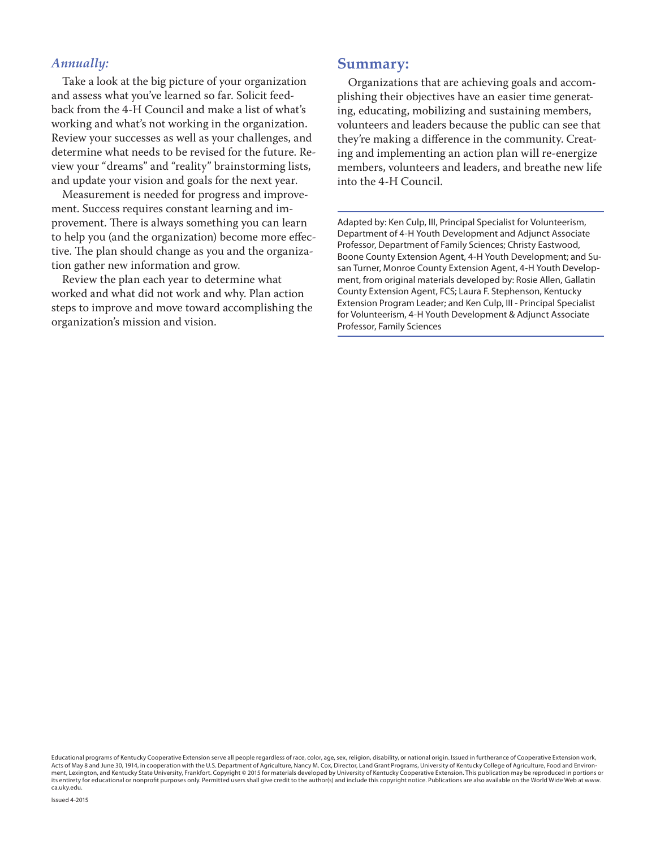#### *Annually:*

Take a look at the big picture of your organization and assess what you've learned so far. Solicit feedback from the 4-H Council and make a list of what's working and what's not working in the organization. Review your successes as well as your challenges, and determine what needs to be revised for the future. Review your "dreams" and "reality" brainstorming lists, and update your vision and goals for the next year.

Measurement is needed for progress and improvement. Success requires constant learning and improvement. There is always something you can learn to help you (and the organization) become more effective. The plan should change as you and the organization gather new information and grow.

Review the plan each year to determine what worked and what did not work and why. Plan action steps to improve and move toward accomplishing the organization's mission and vision.

#### **Summary:**

Organizations that are achieving goals and accomplishing their objectives have an easier time generating, educating, mobilizing and sustaining members, volunteers and leaders because the public can see that they're making a difference in the community. Creating and implementing an action plan will re-energize members, volunteers and leaders, and breathe new life into the 4-H Council.

Adapted by: Ken Culp, III, Principal Specialist for Volunteerism, Department of 4-H Youth Development and Adjunct Associate Professor, Department of Family Sciences; Christy Eastwood, Boone County Extension Agent, 4-H Youth Development; and Susan Turner, Monroe County Extension Agent, 4-H Youth Development, from original materials developed by: Rosie Allen, Gallatin County Extension Agent, FCS; Laura F. Stephenson, Kentucky Extension Program Leader; and Ken Culp, III - Principal Specialist for Volunteerism, 4-H Youth Development & Adjunct Associate Professor, Family Sciences

Educational programs of Kentucky Cooperative Extension serve all people regardless of race, color, age, sex, religion, disability, or national origin. Issued in furtherance of Cooperative Extension work, Acts of May 8 and June 30, 1914, in cooperation with the U.S. Department of Agriculture, Nancy M. Cox, Director, Land Grant Programs, University of Kentucky College of Agriculture, Food and Environ-<br>ment, Lexington, and K its entirety for educational or nonprofit purposes only. Permitted users shall give credit to the author(s) and include this copyright notice. Publications are also available on the World Wide Web at www. ca.uky.edu.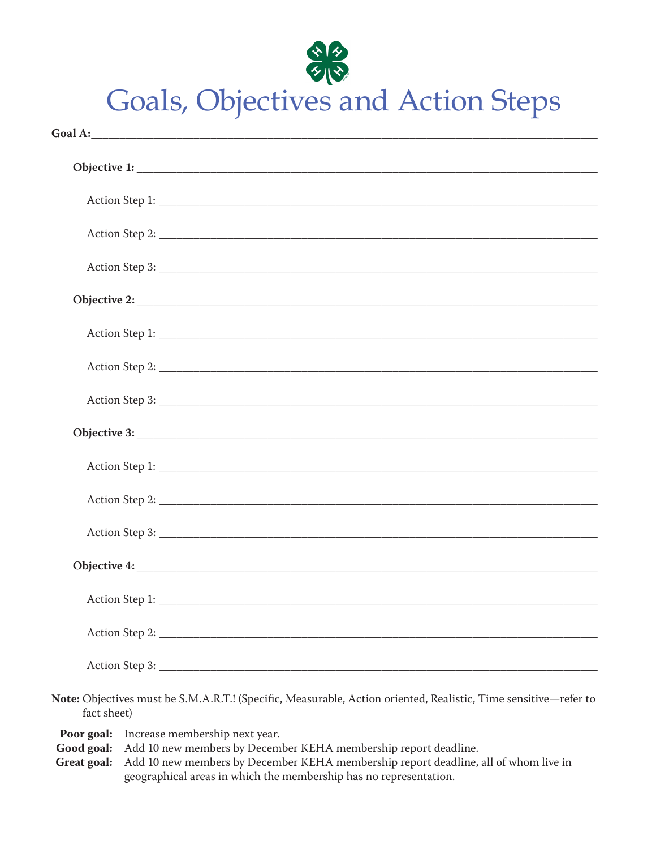

# Goals, Objectives and Action Steps

|                                                | Objective 3:                                                                                                                                                                                                                                                  |
|------------------------------------------------|---------------------------------------------------------------------------------------------------------------------------------------------------------------------------------------------------------------------------------------------------------------|
|                                                |                                                                                                                                                                                                                                                               |
|                                                |                                                                                                                                                                                                                                                               |
|                                                |                                                                                                                                                                                                                                                               |
|                                                |                                                                                                                                                                                                                                                               |
|                                                |                                                                                                                                                                                                                                                               |
|                                                |                                                                                                                                                                                                                                                               |
|                                                |                                                                                                                                                                                                                                                               |
| fact sheet)                                    | Note: Objectives must be S.M.A.R.T.! (Specific, Measurable, Action oriented, Realistic, Time sensitive—refer to                                                                                                                                               |
| Poor goal:<br>Good goal:<br><b>Great goal:</b> | Increase membership next year.<br>Add 10 new members by December KEHA membership report deadline.<br>Add 10 new members by December KEHA membership report deadline, all of whom live in<br>geographical areas in which the membership has no representation. |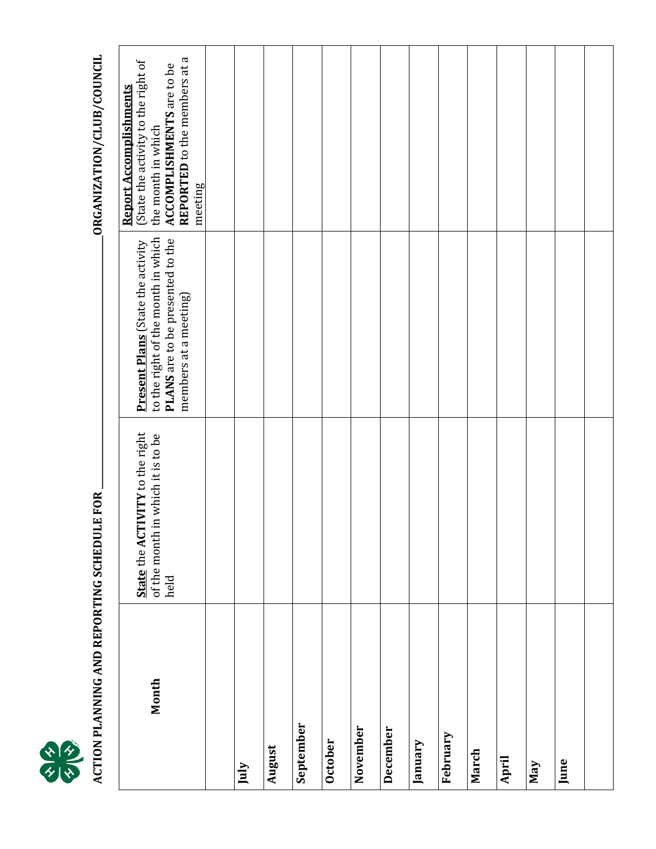

**ACTION PLANNING AND REPORTING SCHEDULE FOR \_\_\_\_\_\_\_\_\_\_\_\_\_\_\_\_\_\_\_\_\_\_\_\_\_\_\_\_\_\_\_\_\_\_\_\_\_\_\_\_\_\_\_\_\_\_\_\_\_\_\_\_\_\_\_\_ORGANIZATION/CLUB/COUNCIL** ACTION PLANNING AND REPORTING SCHEDULE FOR

ORGANIZATION/CLUB/COUNCIL

| Month     | State the ACTIVITY to the right<br>of the month in which it is to be<br>held | to the right of the month in which<br>PLANS are to be presented to the<br><b>Present Plans</b> (State the activity<br>members at a meeting) | REPORTED to the members at a<br>(State the activity to the right of<br>ACCOMPLISHMENTS are to be<br><b>Report Accomplishments</b><br>the month in which<br>meeting |
|-----------|------------------------------------------------------------------------------|---------------------------------------------------------------------------------------------------------------------------------------------|--------------------------------------------------------------------------------------------------------------------------------------------------------------------|
|           |                                                                              |                                                                                                                                             |                                                                                                                                                                    |
| July      |                                                                              |                                                                                                                                             |                                                                                                                                                                    |
| August    |                                                                              |                                                                                                                                             |                                                                                                                                                                    |
| September |                                                                              |                                                                                                                                             |                                                                                                                                                                    |
| October   |                                                                              |                                                                                                                                             |                                                                                                                                                                    |
| November  |                                                                              |                                                                                                                                             |                                                                                                                                                                    |
| December  |                                                                              |                                                                                                                                             |                                                                                                                                                                    |
| January   |                                                                              |                                                                                                                                             |                                                                                                                                                                    |
| February  |                                                                              |                                                                                                                                             |                                                                                                                                                                    |
| March     |                                                                              |                                                                                                                                             |                                                                                                                                                                    |
| April     |                                                                              |                                                                                                                                             |                                                                                                                                                                    |
| Nay       |                                                                              |                                                                                                                                             |                                                                                                                                                                    |
| June      |                                                                              |                                                                                                                                             |                                                                                                                                                                    |
|           |                                                                              |                                                                                                                                             |                                                                                                                                                                    |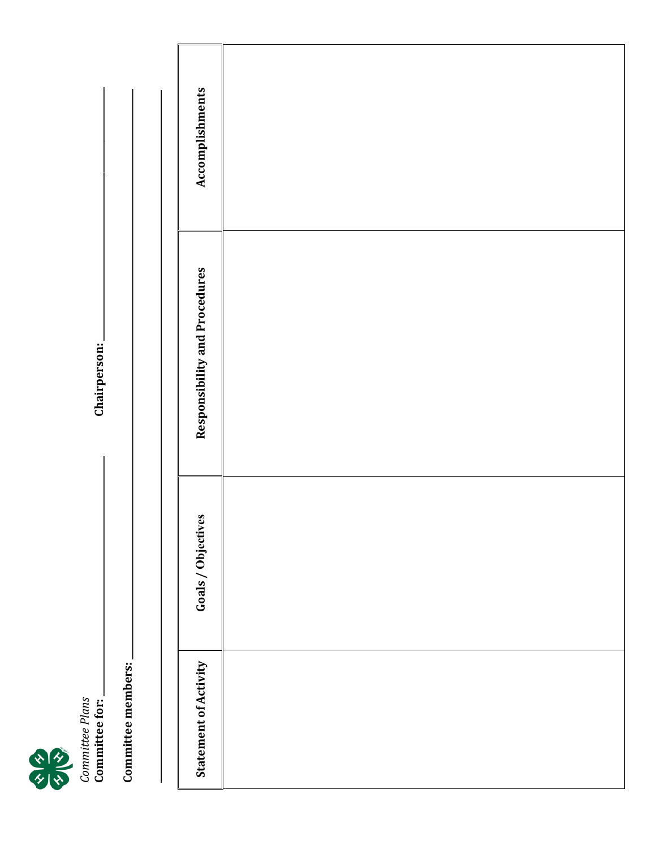

| Š<br>lan | Ī.                     |
|----------|------------------------|
| çв<br>SШ | ఛ<br>ہ<br>با<br>t<br>۴ |
|          |                        |

Chairperson:

|  | Accomplishments               |  |
|--|-------------------------------|--|
|  | Responsibility and Procedures |  |
|  | Goals / Objectives            |  |
|  | <b>Statement of Activity</b>  |  |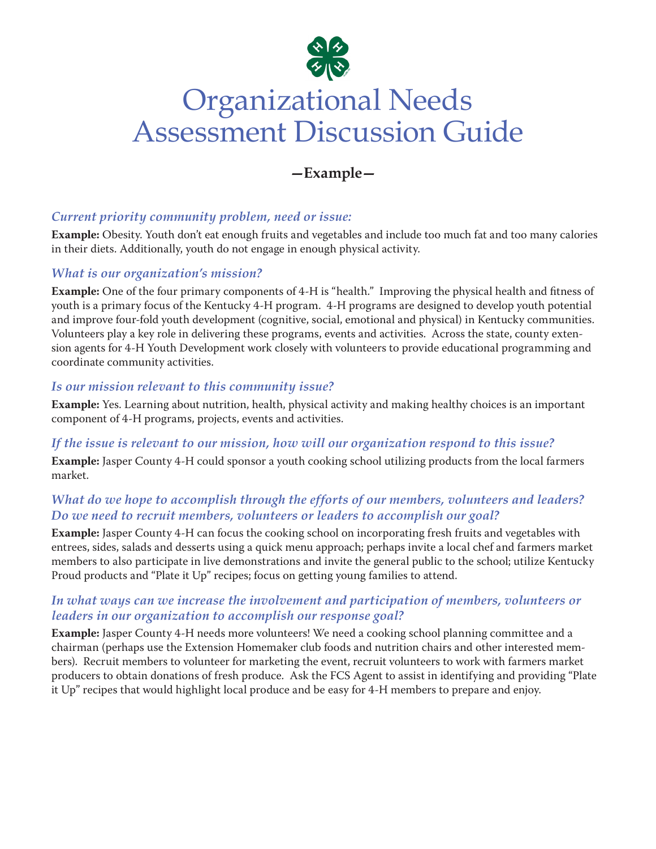

## Organizational Needs Assessment Discussion Guide

**—Example—**

#### *Current priority community problem, need or issue:*

**Example:** Obesity. Youth don't eat enough fruits and vegetables and include too much fat and too many calories in their diets. Additionally, youth do not engage in enough physical activity.

#### *What is our organization's mission?*

**Example:** One of the four primary components of 4-H is "health." Improving the physical health and fitness of youth is a primary focus of the Kentucky 4-H program. 4-H programs are designed to develop youth potential and improve four-fold youth development (cognitive, social, emotional and physical) in Kentucky communities. Volunteers play a key role in delivering these programs, events and activities. Across the state, county extension agents for 4-H Youth Development work closely with volunteers to provide educational programming and coordinate community activities.

#### *Is our mission relevant to this community issue?*

**Example:** Yes. Learning about nutrition, health, physical activity and making healthy choices is an important component of 4-H programs, projects, events and activities.

#### *If the issue is relevant to our mission, how will our organization respond to this issue?*

**Example:** Jasper County 4-H could sponsor a youth cooking school utilizing products from the local farmers market.

#### *What do we hope to accomplish through the efforts of our members, volunteers and leaders? Do we need to recruit members, volunteers or leaders to accomplish our goal?*

**Example:** Jasper County 4-H can focus the cooking school on incorporating fresh fruits and vegetables with entrees, sides, salads and desserts using a quick menu approach; perhaps invite a local chef and farmers market members to also participate in live demonstrations and invite the general public to the school; utilize Kentucky Proud products and "Plate it Up" recipes; focus on getting young families to attend.

#### *In what ways can we increase the involvement and participation of members, volunteers or leaders in our organization to accomplish our response goal?*

**Example:** Jasper County 4-H needs more volunteers! We need a cooking school planning committee and a chairman (perhaps use the Extension Homemaker club foods and nutrition chairs and other interested members). Recruit members to volunteer for marketing the event, recruit volunteers to work with farmers market producers to obtain donations of fresh produce. Ask the FCS Agent to assist in identifying and providing "Plate it Up" recipes that would highlight local produce and be easy for 4-H members to prepare and enjoy.